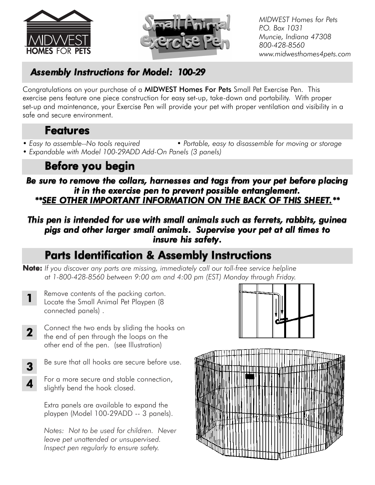



*MIDWEST Homes for Pets P.O. Box 1031 Muncie, Indiana 47308 800-428-8560 www.midwesthomes4pets.com*

## *Assembly Instructions for Model: 100-29*

Congratulations on your purchase of a MIDWEST Homes For Pets Small Pet Exercise Pen. This exercise pens feature one piece construction for easy set-up, take-down and portability. With proper set-up and maintenance, your Exercise Pen will provide your pet with proper ventilation and visibility in a safe and secure environment.

### Features

- 
- *Easy to assemble--No tools required Portable, easy to disassemble for moving or storage • Expandable with Model 100-29ADD Add-On Panels (3 panels)*

## Before you begin

*Be sure to remove the collars, harnesses and tags from your pet before placing it in the exercise pen to prevent possible entanglement. \*\*SEE OTHER IMPORTANT INFORMATION ON THE BACK OF THIS SHEET.\*\**

### *This pen is intended for use with small animals such as ferrets, rabbits, guinea pigs and other larger small animals. Supervise your pet at all times to insure his safety.*

## Parts Identification & Assembly Instructions

- Note: *If you discover any parts are missing, immediately call our toll-free service helpline at 1-800-428-8560 between 9:00 am and 4:00 pm (EST) Monday through Friday.*
	- Remove contents of the packing carton. Locate the Small Animal Pet Playpen (8 connected panels) . 1
- Connect the two ends by sliding the hooks on the end of pen through the loops on the other end of the pen. (see Illustration) 2
- Be sure that all hooks are secure before use. 3
	- For a more secure and stable connection, slightly bend the hook closed.

4

Extra panels are available to expand the playpen (Model 100-29ADD -- 3 panels).

*Notes: Not to be used for children. Never leave pet unattended or unsupervised. Inspect pen regularly to ensure safety.*